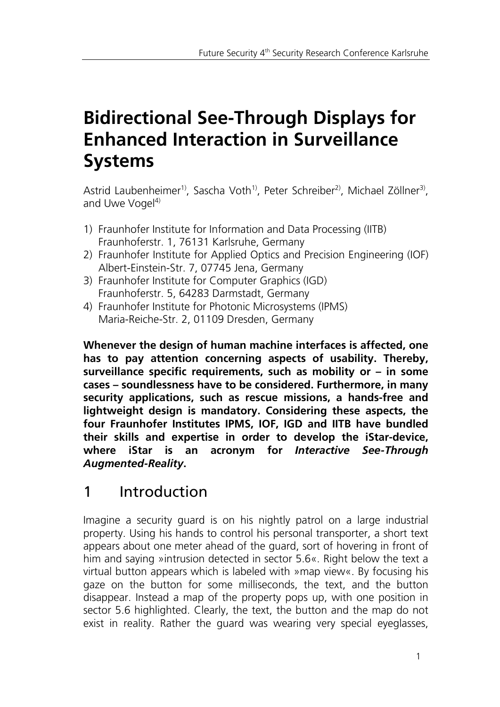# **Bidirectional See-Through Displays for Enhanced Interaction in Surveillance Systems**

Astrid Laubenheimer<sup>1)</sup>, Sascha Voth<sup>1)</sup>, Peter Schreiber<sup>2)</sup>, Michael Zöllner<sup>3)</sup>, and Uwe Vogel $4$ )

- 1) Fraunhofer Institute for Information and Data Processing (IITB) Fraunhoferstr. 1, 76131 Karlsruhe, Germany
- 2) Fraunhofer Institute for Applied Optics and Precision Engineering (IOF) Albert-Einstein-Str. 7, 07745 Jena, Germany
- 3) Fraunhofer Institute for Computer Graphics (IGD) Fraunhoferstr. 5, 64283 Darmstadt, Germany
- 4) Fraunhofer Institute for Photonic Microsystems (IPMS) Maria-Reiche-Str. 2, 01109 Dresden, Germany

**Whenever the design of human machine interfaces is affected, one has to pay attention concerning aspects of usability. Thereby, surveillance specific requirements, such as mobility or – in some cases – soundlessness have to be considered. Furthermore, in many security applications, such as rescue missions, a hands-free and lightweight design is mandatory. Considering these aspects, the four Fraunhofer Institutes IPMS, IOF, IGD and IITB have bundled their skills and expertise in order to develop the iStar-device, where iStar is an acronym for** *Interactive See-Through Augmented-Reality***.**

## 1 Introduction

Imagine a security guard is on his nightly patrol on a large industrial property. Using his hands to control his personal transporter, a short text appears about one meter ahead of the guard, sort of hovering in front of him and saying »intrusion detected in sector 5.6«. Right below the text a virtual button appears which is labeled with »map view«. By focusing his gaze on the button for some milliseconds, the text, and the button disappear. Instead a map of the property pops up, with one position in sector 5.6 highlighted. Clearly, the text, the button and the map do not exist in reality. Rather the guard was wearing very special eyeglasses,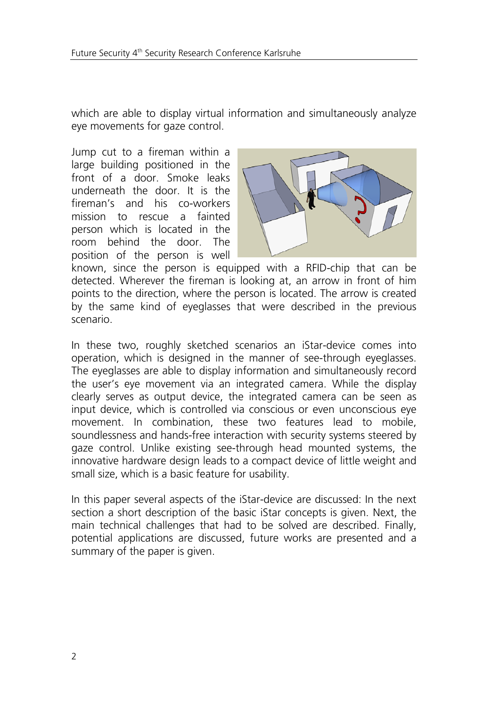which are able to display virtual information and simultaneously analyze eye movements for gaze control.

Jump cut to a fireman within a large building positioned in the front of a door. Smoke leaks underneath the door. It is the fireman's and his co-workers mission to rescue a fainted person which is located in the room behind the door. The position of the person is well



known, since the person is equipped with a RFID-chip that can be detected. Wherever the fireman is looking at, an arrow in front of him points to the direction, where the person is located. The arrow is created by the same kind of eyeglasses that were described in the previous scenario.

In these two, roughly sketched scenarios an iStar-device comes into operation, which is designed in the manner of see-through eyeglasses. The eyeglasses are able to display information and simultaneously record the user's eye movement via an integrated camera. While the display clearly serves as output device, the integrated camera can be seen as input device, which is controlled via conscious or even unconscious eye movement. In combination, these two features lead to mobile, soundlessness and hands-free interaction with security systems steered by gaze control. Unlike existing see-through head mounted systems, the innovative hardware design leads to a compact device of little weight and small size, which is a basic feature for usability.

In this paper several aspects of the iStar-device are discussed: In the next section a short description of the basic iStar concepts is given. Next, the main technical challenges that had to be solved are described. Finally, potential applications are discussed, future works are presented and a summary of the paper is given.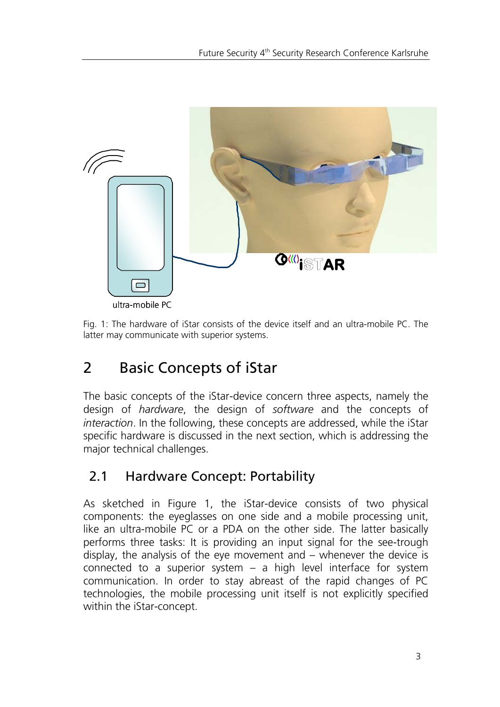

Fig. 1: The hardware of iStar consists of the device itself and an ultra-mobile PC. The latter may communicate with superior systems.

## 2 Basic Concepts of iStar

The basic concepts of the iStar-device concern three aspects, namely the design of *hardware*, the design of *software* and the concepts of *interaction*. In the following, these concepts are addressed, while the iStar specific hardware is discussed in the next section, which is addressing the major technical challenges.

#### 2.1 Hardware Concept: Portability

As sketched in Figure 1, the iStar-device consists of two physical components: the eyeglasses on one side and a mobile processing unit, like an ultra-mobile PC or a PDA on the other side. The latter basically performs three tasks: It is providing an input signal for the see-trough display, the analysis of the eye movement and – whenever the device is connected to a superior system  $-$  a high level interface for system communication. In order to stay abreast of the rapid changes of PC technologies, the mobile processing unit itself is not explicitly specified within the iStar-concept.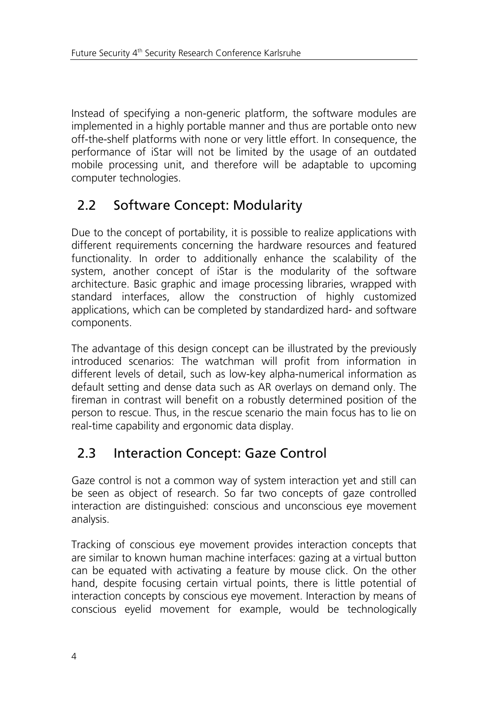Instead of specifying a non-generic platform, the software modules are implemented in a highly portable manner and thus are portable onto new off-the-shelf platforms with none or very little effort. In consequence, the performance of iStar will not be limited by the usage of an outdated mobile processing unit, and therefore will be adaptable to upcoming computer technologies.

#### 2.2 Software Concept: Modularity

Due to the concept of portability, it is possible to realize applications with different requirements concerning the hardware resources and featured functionality. In order to additionally enhance the scalability of the system, another concept of iStar is the modularity of the software architecture. Basic graphic and image processing libraries, wrapped with standard interfaces, allow the construction of highly customized applications, which can be completed by standardized hard- and software components.

The advantage of this design concept can be illustrated by the previously introduced scenarios: The watchman will profit from information in different levels of detail, such as low-key alpha-numerical information as default setting and dense data such as AR overlays on demand only. The fireman in contrast will benefit on a robustly determined position of the person to rescue. Thus, in the rescue scenario the main focus has to lie on real-time capability and ergonomic data display.

#### 2.3 Interaction Concept: Gaze Control

Gaze control is not a common way of system interaction yet and still can be seen as object of research. So far two concepts of gaze controlled interaction are distinguished: conscious and unconscious eye movement analysis.

Tracking of conscious eye movement provides interaction concepts that are similar to known human machine interfaces: gazing at a virtual button can be equated with activating a feature by mouse click. On the other hand, despite focusing certain virtual points, there is little potential of interaction concepts by conscious eye movement. Interaction by means of conscious eyelid movement for example, would be technologically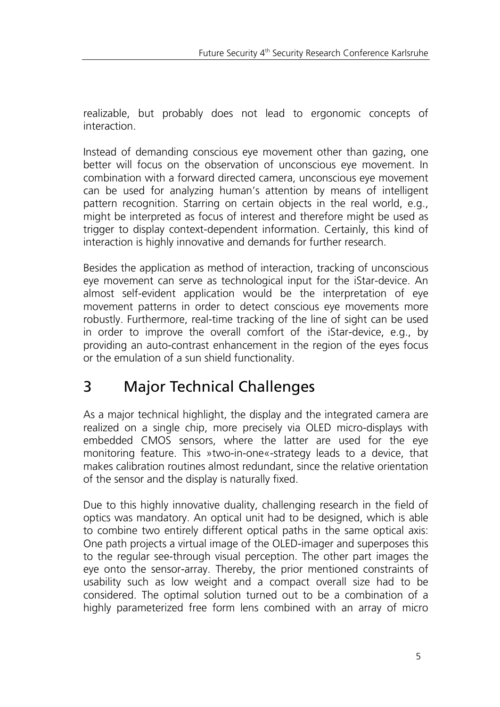realizable, but probably does not lead to ergonomic concepts of interaction.

Instead of demanding conscious eye movement other than gazing, one better will focus on the observation of unconscious eye movement. In combination with a forward directed camera, unconscious eye movement can be used for analyzing human's attention by means of intelligent pattern recognition. Starring on certain objects in the real world, e.g., might be interpreted as focus of interest and therefore might be used as trigger to display context-dependent information. Certainly, this kind of interaction is highly innovative and demands for further research.

Besides the application as method of interaction, tracking of unconscious eye movement can serve as technological input for the iStar-device. An almost self-evident application would be the interpretation of eye movement patterns in order to detect conscious eye movements more robustly. Furthermore, real-time tracking of the line of sight can be used in order to improve the overall comfort of the iStar-device, e.g., by providing an auto-contrast enhancement in the region of the eyes focus or the emulation of a sun shield functionality.

## 3 Major Technical Challenges

As a major technical highlight, the display and the integrated camera are realized on a single chip, more precisely via OLED micro-displays with embedded CMOS sensors, where the latter are used for the eye monitoring feature. This »two-in-one«-strategy leads to a device, that makes calibration routines almost redundant, since the relative orientation of the sensor and the display is naturally fixed.

Due to this highly innovative duality, challenging research in the field of optics was mandatory. An optical unit had to be designed, which is able to combine two entirely different optical paths in the same optical axis: One path projects a virtual image of the OLED-imager and superposes this to the regular see-through visual perception. The other part images the eye onto the sensor-array. Thereby, the prior mentioned constraints of usability such as low weight and a compact overall size had to be considered. The optimal solution turned out to be a combination of a highly parameterized free form lens combined with an array of micro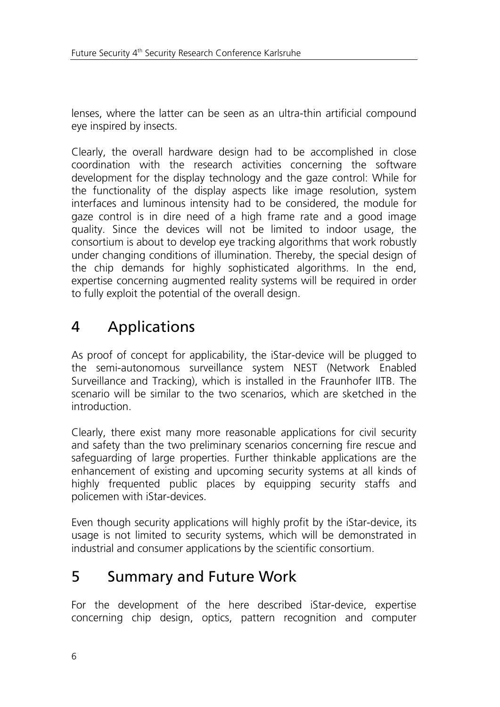lenses, where the latter can be seen as an ultra-thin artificial compound eye inspired by insects.

Clearly, the overall hardware design had to be accomplished in close coordination with the research activities concerning the software development for the display technology and the gaze control: While for the functionality of the display aspects like image resolution, system interfaces and luminous intensity had to be considered, the module for gaze control is in dire need of a high frame rate and a good image quality. Since the devices will not be limited to indoor usage, the consortium is about to develop eye tracking algorithms that work robustly under changing conditions of illumination. Thereby, the special design of the chip demands for highly sophisticated algorithms. In the end, expertise concerning augmented reality systems will be required in order to fully exploit the potential of the overall design.

### 4 Applications

As proof of concept for applicability, the iStar-device will be plugged to the semi-autonomous surveillance system NEST (Network Enabled Surveillance and Tracking), which is installed in the Fraunhofer IITB. The scenario will be similar to the two scenarios, which are sketched in the introduction.

Clearly, there exist many more reasonable applications for civil security and safety than the two preliminary scenarios concerning fire rescue and safeguarding of large properties. Further thinkable applications are the enhancement of existing and upcoming security systems at all kinds of highly frequented public places by equipping security staffs and policemen with iStar-devices.

Even though security applications will highly profit by the iStar-device, its usage is not limited to security systems, which will be demonstrated in industrial and consumer applications by the scientific consortium.

#### 5 Summary and Future Work

For the development of the here described iStar-device, expertise concerning chip design, optics, pattern recognition and computer